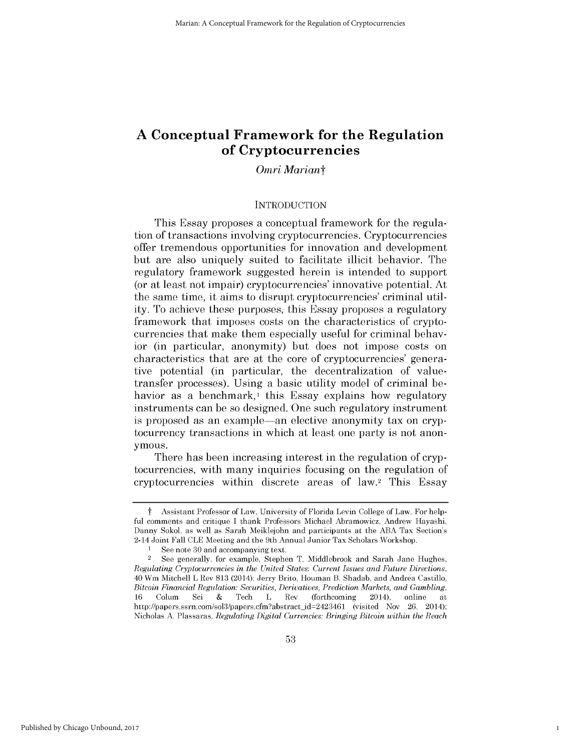# **A Conceptual Framework for the Regulation of Cryptocurrencies**

## *Omri Mariant*

### **INTRODUCTION**

This Essay proposes a conceptual framework for the regulation of transactions involving cryptocurrencies. Cryptocurrencies offer tremendous opportunities for innovation and development but are also uniquely suited to facilitate illicit behavior. The regulatory framework suggested herein is intended to support (or at least not impair) cryptocurrencies' innovative potential. At the same time, it aims to disrupt cryptocurrencies' criminal utility. To achieve these purposes, this Essay proposes a regulatory framework that imposes costs on the characteristics of cryptocurrencies that make them especially useful for criminal behavior (in particular, anonymity) but does not impose costs on characteristics that are at the core of cryptocurrencies' generative potential (in particular, the decentralization of valuetransfer processes). Using a basic utility model of criminal behavior as a benchmark, $\frac{1}{1}$  this Essay explains how regulatory instruments can be so designed. One such regulatory instrument is proposed as an example—an elective anonymity tax on cryptocurrency transactions in which at least one party is not anonymous.

There has been increasing interest in the regulation of cryptocurrencies, with many inquiries focusing on the regulation of cryptocurrencies within discrete areas of law.2 This Essay

Assistant Professor of Law, University of Florida Levin College of Law. For helpful comments and critique I thank Professors Michael Abramowicz, Andrew Hayashi, Danny Sokol, as well as Sarah Meiklejohn and participants at the ABA Tax Section's 2-14 Joint Fall CLE Meeting and the 9th Annual Junior Tax Scholars Workshop.

<sup>1</sup> See note 30 and accompanying text.

<sup>2</sup> See generally, for example, Stephen T. Middlebrook and Sarah Jane Hughes, *Regulating Cryptocurrencies in the United States: Current Issues and Future Directions,* 40 Wm Mitchell L Rev 813 (2014); Jerry Brito, Houman B. Shadab, and Andrea Castillo, *Bitcoin Financial Regulation: Securities, Derivatives, Prediction Markets, and Gambling,* 16 Colum Sci & Tech L Rev (forthcoming 2014), online at http://papers.ssrn.com/sol3/papers.cfm?abstract\_id=2423461 (visited Nov 26, 2014); Nicholas A. Plassaras, *Regulating Digital Currencies: Bringing Bitcoin within the Reach*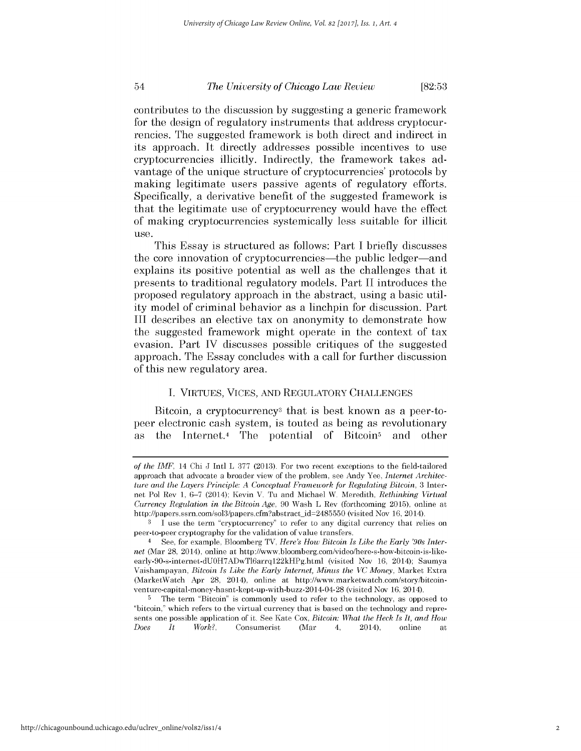#### 54 **[82:53** *The University of Chicago Law Review*

contributes to the discussion **by** suggesting a generic framework for the design of regulatory instruments that address cryptocurrencies. The suggested framework is both direct and indirect in its approach. It directly addresses possible incentives to use cryptocurrencies illicitly. Indirectly, the framework takes advantage of the unique structure of cryptocurrencies' protocols **by** making legitimate users passive agents of regulatory efforts. Specifically, a derivative benefit of the suggested framework **is** that the legitimate use of cryptocurrency would have the effect of making cryptocurrencies systemically less suitable for illicit use.

This Essay is structured as follows: Part **I** briefly discusses the core innovation of cryptocurrencies—the public ledger—and explains its positive potential as well as the challenges that it presents to traditional regulatory models. Part **II** introduces the proposed regulatory approach in the abstract, using a basic utility model of criminal behavior as a linchpin for discussion. Part **III** describes an elective tax on anonymity to demonstrate how the suggested framework might operate in the context of tax evasion. Part IV discusses possible critiques of the suggested approach. The Essay concludes with a call for further discussion of this new regulatory area.

### **I. VIRTUES, VICES, AND** REGULATORY **CHALLENGES**

Bitcoin, a cryptocurrency<sup>3</sup> that is best known as a peer-topeer electronic cash system, is touted as being as revolutionary as the Internet.<sup>4</sup> The potential of Bitcoin<sup>5</sup> and other

*of the IMF,* 14 Chi **J** Intl L **377 (2013).** For **two** recent exceptions to the field-tailored approach that advocate a broader view of the problem, see Andy Yee, *Internet Architecture and the Layers Principle: A Conceptual Framework for Regulating Bitcoin,* **3** Internet Pol Rev **1, 6-7** (2014); Kevin V. **Tu** and Michael W. Meredith, *Rethinking Virtual Currency Regulation in the Bitcoin Age,* **90** Wash L Rev (forthcoming **2015),** online at http://papers.ssrn.com/sol3/papers.cfmabstract-id-2485550 (visited Nov **16,** 2014).

**<sup>3 1</sup>** use the term "cryptocurrency' to refer to any digital currency that relies on peer-to-peer cryptography for the validation of value transfers.

**<sup>4</sup> See,** for example, Bloomberg TV, *Here's How Bitcoin Is Like the Early '90s Internet* (Mar 28, 2014), online at http://www.bloomberg.com/video/here-s-how-bitcoin-is-likeearly-90-s-internet-dUOH7ADwTl6arrql22kHPg.html (visited Nov **16,** 2014); Saumya Vaishampayan, *Bitcoin Is Like the Early Internet, Minus the VC Money,* Market Extra (MarketWatch Apr 28, 2014), online at http://www.marketwatch.com/story/bitcoinventure-capital-money-hasnt-kept-up-with-buzz-2014-04-28 (visited Nov **16,** 2014).

The term "Bitcoin" is commonly used to refer to the technology, as opposed to "bitcoin," which refers to the virtual currency that is based on the technology and represents one possible application of **it.** See Kate Cox, *Bitcoin: What the Heck Is It, and How Does It Work?,* Consumerist (Mar 4, 2014), online at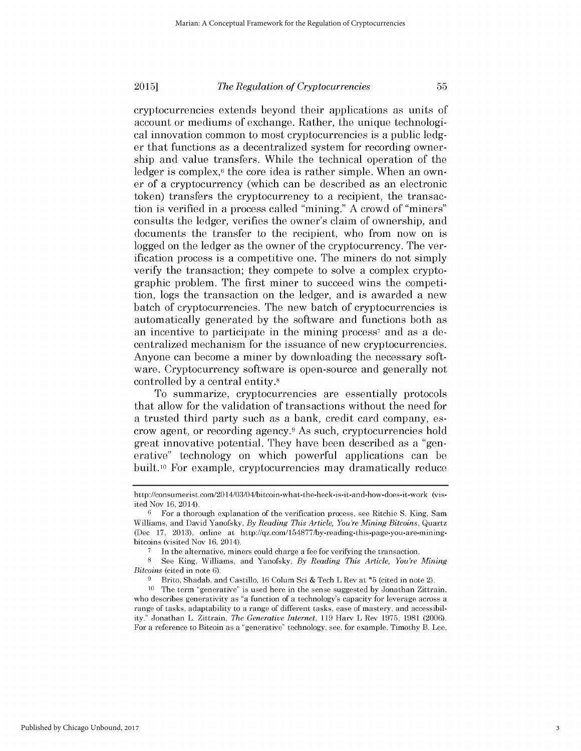### *The Regulation of Cryptocurrencies* **2015]**

cryptocurrencies extends beyond their applications as units of account or mediums of exchange. Rather, the unique technological innovation common to most cryptocurrencies is a public ledger that functions as a decentralized system for recording ownership and value transfers. While the technical operation of the ledger is complex, $6$  the core idea is rather simple. When an owner of a cryptocurrency (which can be described as an electronic token) transfers the cryptocurrency to a recipient, the transaction is verified in a process called "mining." A crowd of "miners" consults the ledger, verifies the owner's claim of ownership, and documents the transfer to the recipient, who from now on is logged on the ledger as the owner of the cryptocurrency. The verification process is a competitive one. The miners do not simply verify the transaction; they compete to solve a complex cryptographic problem. The first miner to succeed wins the competition, logs the transaction on the ledger, and is awarded a new batch of cryptocurrencies. The new batch of cryptocurrencies is automatically generated by the software and functions both as an incentive to participate in the mining process<sup>7</sup> and as a decentralized mechanism for the issuance of new cryptocurrencies. Anyone can become a miner by downloading the necessary software. Cryptocurrency software is open-source and generally not controlled by a central entity.<sup>8</sup>

To summarize, cryptocurrencies are essentially protocols that allow for the validation of transactions without the need for a trusted third party such as a bank, credit card company, escrow agent, or recording agency. <sup>9</sup>As such, cryptocurrencies hold great innovative potential. They have been described as a "generative" technology on which powerful applications can be built.<sup>10</sup> For example, cryptocurrencies may dramatically reduce

Published by Chicago Unbound, 2017

http://consumerist.com/2014/03/04/bitcoin-what-the-heck-is-it-and-how-does-it-work (visited Nov 16, 2014).

 $6$  For a thorough explanation of the verification process, see Ritchie S. King, Sam Williams, and David Yanofsky, *By Reading This Article, You're Mining Bitcoins,* Quartz (Dec 17, 2013), online at http://qz.com/154877/by-reading-this-page-you-are-miningbitcoins (visited Nov 16, 2014).

In the alternative, miners could charge a fee for verifying the transaction.

<sup>8</sup>See King, Williams, and Yanofsky, *By Reading This Article, You're Mining Bitcoins* (cited in note 6).

Brito, Shadab, and Castillo, 16 Colum Sci & Tech L Rev at \*5 (cited in note 2).

<sup>10</sup> The term "generative" is used here in the sense suggested by Jonathan Zittrain, who describes generativity as "a function of a technology's capacity for leverage across a range of tasks, adaptability to a range of different tasks, ease of mastery, and accessibility." Jonathan L. Zittrain, *The Generative Internet,* 119 Harv L Rev 1975, 1981 (2006). For a reference to Bitcoin as a "generative" technology, see, for example, Timothy B. Lee,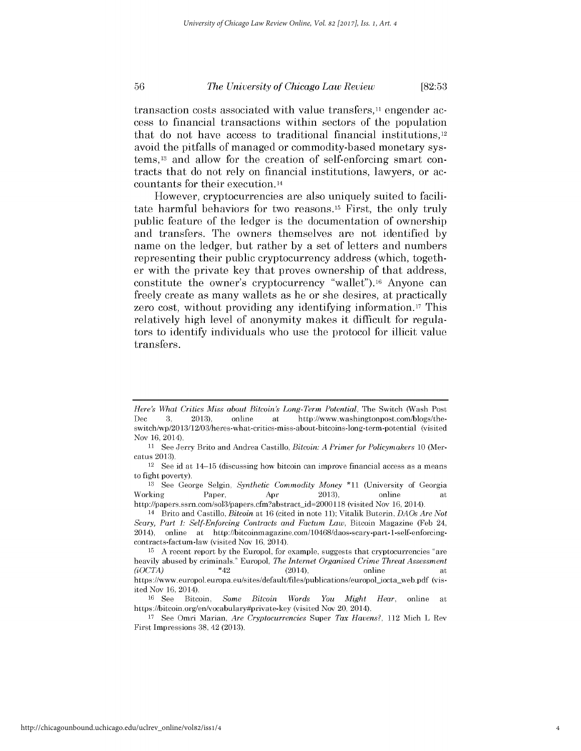## *The University of Chicago Law Review* [82:53

transaction costs associated with value transfers,<sup>11</sup> engender access to financial transactions within sectors of the population that do not have access to traditional financial institutions,1<sup>2</sup> avoid the pitfalls of managed or commodity-based monetary systems,<sup>13</sup> and allow for the creation of self-enforcing smart contracts that do not rely on financial institutions, lawyers, or accountants for their execution.14

However, cryptocurrencies are also uniquely suited to facilitate harmful behaviors for two reasons.<sup>15</sup> First, the only truly public feature of the ledger is the documentation of ownership and transfers. The owners themselves are not identified **by** name on the ledger, but rather **by** a set of letters and numbers representing their public cryptocurrency address (which, together with the private key that proves ownership of that address, constitute the owner's cryptocurrency "wallet").16 Anyone can freely create as many wallets as he or she desires, at practically zero cost, without providing any identifying information.17 This relatively **high** level of anonymity makes it difficult for regulators to identify individuals who use the protocol for illicit value transfers.

*Here's What Critics Miss about Bitcoin's Long-Term Potential,* The Switch (Wash Post Dec 3, 2013), online at http://www.washingtonpost.com/blogs/theswitch/wp/20 13/12/03/heres-what-critics-miss-about-bitcoins-long-term-potential (visited Nov 16, 2014).

<sup>11</sup> See Jerry Brito and Andrea Castillo, *Bitcoin: A Primer for Policymakers* 10 (Mercatus 2013).

 $12$  See id at  $14-15$  (discussing how bitcoin can improve financial access as a means to fight poverty).

<sup>13</sup> See George Selgin, *Synthetic Commodity Money* \*11 (University of Georgia Working Paper, Apr 2013), online at http://papers.ssrn.com/sol3/papers.cfm?abstract\_id=2000118 (visited Nov 16, 2014).

<sup>14</sup>Brito and Castillo, *Bitcoin* at 16 (cited in note 11); Vitalik Buterin, *DAOs Are Not Scary, Part 1: Self-Enforcing Contracts and Factum Law,* Bitcoin Magazine (Feb 24, 2014), online at http://bitcoinmagazine.com/10468/daos-scary-part- 1-self-enforcingcontracts-factum-law (visited Nov 16, 2014).

<sup>15</sup>A recent report by the Europol, for example, suggests that cryptocurrencies "are heavily abused by criminals." Europol, *The Internet Organised Crime Threat Assessment (iOCTA)* \*42 (2014), online at https://www. europol. europa.eu/sites/default/files/publications/europol-iocta-web.pdf (visited Nov 16, 2014).

<sup>16</sup> See Bitcoin, *Some Bitcoin Words You Might Hear,* online at https://bitcoin.org/en/vocabulary#private-key (visited Nov 20, 2014).

<sup>17</sup>See Omri Marian, *Are Cryptocurrencies* Super *Tax Havens?,* 112 Mich L Rev First Impressions 38, 42 (2013).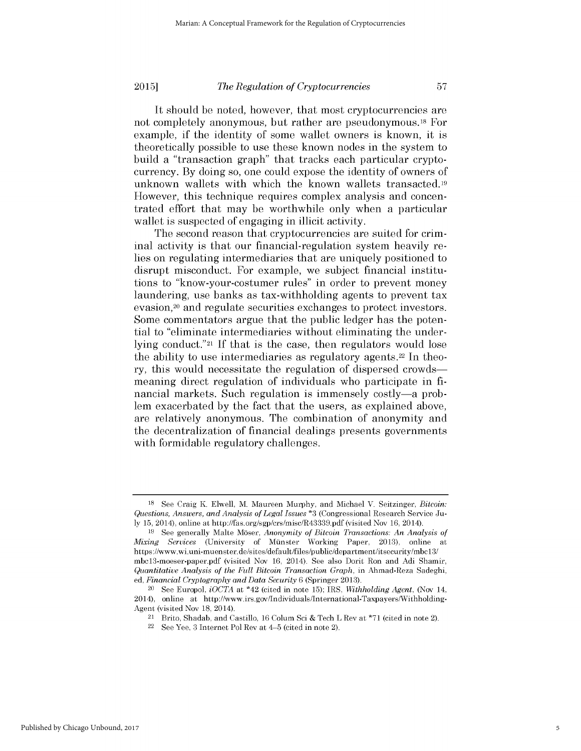**2015]**

## *The Regulation of Cryptocurrencies*

It should be noted, however, that most cryptocurrencies are not completely anonymous, but rather are pseudonymous.18 For example, if the identity of some wallet owners is known, it is theoretically possible to use these known nodes in the system to build a "transaction graph" that tracks each particular cryptocurrency. By doing so, one could expose the identity of owners of unknown wallets with which the known wallets transacted.19 However, this technique requires complex analysis and concentrated effort that may be worthwhile only when a particular wallet is suspected of engaging in illicit activity.

The second reason that cryptocurrencies are suited for criminal activity is that our financial-regulation system heavily relies on regulating intermediaries that are uniquely positioned to disrupt misconduct. For example, we subject financial institutions to "know-your-costumer rules" in order to prevent money laundering, use banks as tax-withholding agents to prevent tax evasion,<sup>20</sup> and regulate securities exchanges to protect investors. Some commentators argue that the public ledger has the potential to "eliminate intermediaries without eliminating the underlying conduct."21 If that is the case, then regulators would lose the ability to use intermediaries as regulatory agents.<sup>22</sup> In theory, this would necessitate the regulation of dispersed crowdsmeaning direct regulation of individuals who participate in financial markets. Such regulation is immensely costly—a problem exacerbated by the fact that the users, as explained above, are relatively anonymous. The combination of anonymity and the decentralization of financial dealings presents governments with formidable regulatory challenges.

<sup>18</sup>See Craig K. Elwell, M. Maureen Murphy, and Michael V. Seitzinger, *Bitcoin: Questions, Answers, and Analysis of Legal Issues* \*3 (Congressional Research Service July 15, 2014), online at http://fas.org/sgp/crs/misc/R43339.pdf (visited Nov 16, 2014).

<sup>19</sup> See generally Malte Moser, *Anonymity of Bitcoin Transactions: An Analysis of Mixing Services* (University of Münster Working Paper, 2013), online at https://www.wi.uni-muenster.de/sites/default/files/public/department/itsecurity/mbcl3/ mbcl3-moeser-paper.pdf (visited Nov 16, 2014). See also Dorit Ron and Adi Shamir, *Quantitative Analysis of the Full Bitcoin Transaction Graph,* in Ahmad-Reza Sadeghi, ed, *Financial Cryptography and Data Security* 6 (Springer 2013).

<sup>20</sup>See Europol, *iOCTA* at \*42 (cited in note 15); IRS, *Withholding Agent,* (Nov 14, 2014), online at http://www.irs.gov/Individuals/International-Taxpayers/Withholding-Agent (visited Nov 18, 2014).

<sup>21</sup>Brito, Shadab, and Castillo, 16 Colum Sci & Tech L Rev at **\*71** (cited in note 2).

 $22$  See Yee, 3 Internet Pol Rev at 4-5 (cited in note 2).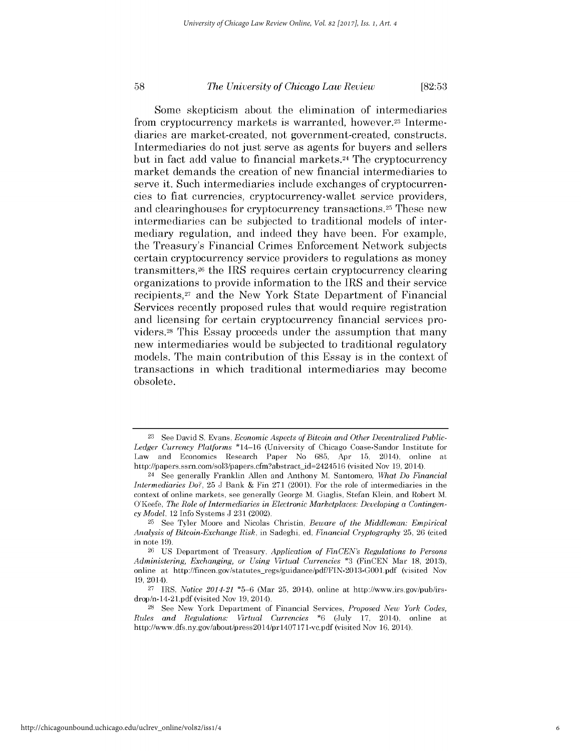### *The University of Chicago Law Review* **[82:53**

Some skepticism about the elimination of intermediaries from cryptocurrency markets is warranted, however.23 Intermediaries are market-created, not government-created, constructs. Intermediaries do not just serve as agents for buyers and sellers but in fact add value to financial markets.24 The cryptocurrency market demands the creation of new financial intermediaries to serve it. Such intermediaries include exchanges of cryptocurrencies to fiat currencies, cryptocurrency-wallet service providers, and clearinghouses for cryptocurrency transactions.<sup>25</sup> These new intermediaries can be subjected to traditional models of intermediary regulation, and indeed they have been. For example, the Treasury's Financial Crimes Enforcement Network subjects certain cryptocurrency service providers to regulations as money transmitters,26 the IRS requires certain cryptocurrency clearing organizations to provide information to the IRS and their service recipients,<sup>27</sup> and the New York State Department of Financial Services recently proposed rules that would require registration and licensing for certain cryptocurrency financial services providers.28 This Essay proceeds under the assumption that many new intermediaries would be subjected to traditional regulatory models. The main contribution of this Essay is in the context of transactions in which traditional intermediaries may become obsolete.

**<sup>23</sup> See** David **S.** Evans, *Economic Aspects of Bitcoin and Other Decentralized Public-Ledger Currency Platforms* \*14-16 (University of Chicago Coase-Sandor Institute for Law and Economics Research Paper No **685,** Apr **15,** 2014), online at **http://papers.ssrn.com/sol3/Papers.efm?abstract-id-2424516** (visited **Nov 19,** 2014).

<sup>24</sup>**See** generally Franklin Allen and Anthony M. Santomero, *What Do Financial Intermediaries Do?,* **25 J** Bank **&** Fin **271** (2001). For the role of intermediaries in the context of online markets, see generally George M. Giaglis, Stefan Klein, and Robert M. O'Keefe, *The Role of Intermediaries in Electronic Marketplaces: Developing a ContingencyModel,* 12 Info Systems **J 231** (2002).

**<sup>25</sup>See** Tyler Moore and Nicolas Christin, *Beware of the Middleman: Empirical Analysis of Bitcoin-Exchange Risk,* in Sadeghi, ed, *Financial Cryptography* **25, 26** (cited in note **19).**

**<sup>26</sup>US** Department of Treasury, *Application of FinCEN's Regulations to Persons Administering, Exchanging, or Using Virtual Currencies* **\*3** (FinCEN Mar **18, 2013),** online at http://fincen.gov/statutes-regs/guidance/pdf/FIN-2013-GOOl.pdf (visited Nov 19, 2014).

**<sup>27</sup>** IRS, *Notice 2014-21* **\*5-6** (Mar **25,** 2014), online at http://www.irs.gov/pub/irsdrop/n- **14-21.pdf** (visited Nov **19,** 2014).

**<sup>28</sup>**See New York Department of Financial Services, *Proposed New York Codes, Rules and Regulations: Virtual Currencies* **\*6** (July **17,** 2014), online at http://www.dfs.ny.gov/about/press2014/prl407171-vc.pdf (visited Nov 16, 2014).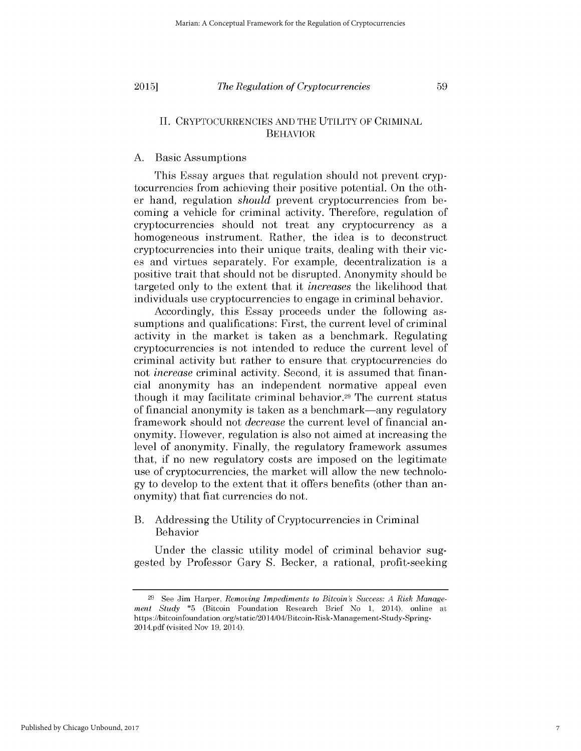**2015]**

## *The Regulation of Cryptocurrencies*

59

## II. CRYPTOCURRENCIES AND THE UTILITY OF CRIMINAL BEHAVIOR

## A. Basic Assumptions

This Essay argues that regulation should not prevent cryptocurrencies from achieving their positive potential. On the other hand, regulation *should* prevent cryptocurrencies from becoming a vehicle for criminal activity. Therefore, regulation of cryptocurrencies should not treat any cryptocurrency as a homogeneous instrument. Rather, the idea is to deconstruct cryptocurrencies into their unique traits, dealing with their vices and virtues separately. For example, decentralization is a positive trait that should not be disrupted. Anonymity should be targeted only to the extent that it *increases* the likelihood that individuals use cryptocurrencies to engage in criminal behavior.

Accordingly, this Essay proceeds under the following assumptions and qualifications: First, the current level of criminal activity in the market is taken as a benchmark. Regulating cryptocurrencies is not intended to reduce the current level of criminal activity but rather to ensure that cryptocurrencies do not *increase* criminal activity. Second, it is assumed that financial anonymity has an independent normative appeal even though it may facilitate criminal behavior.29 The current status of financial anonymity is taken as a benchmark-any regulatory framework should not *decrease* the current level of financial anonymity. However, regulation is also not aimed at increasing the level of anonymity. Finally, the regulatory framework assumes that, if no new regulatory costs are imposed on the legitimate use of cryptocurrencies, the market will allow the new technology to develop to the extent that it offers benefits (other than anonymity) that fiat currencies do not.

## B. Addressing the Utility of Cryptocurrencies in Criminal Behavior

Under the classic utility model of criminal behavior suggested by Professor Gary S. Becker, a rational, profit-seeking

<sup>29</sup> See Jim Harper, *Removing Impediments to Bitcoin's Success: A Risk Management Study* \*5 (Bitcoin Foundation Research Brief No 1, 2014), online at https://bitcoinfoundation.org/static/2014/04/Bitcoin-Risk-Management-Study-Spring-2014.pdf (visited Nov 19, 2014).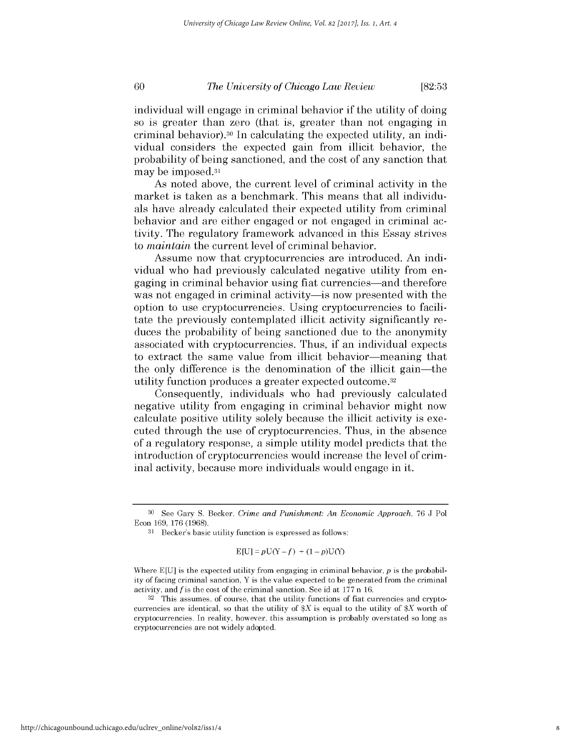#### *The University of Chicago Law Review* **[82:53**

individual will engage in criminal behavior if the utility of doing so is greater than zero (that is, greater than not engaging in criminal behavior).30 In calculating the expected utility, an individual considers the expected gain from illicit behavior, the probability of being sanctioned, and the cost of any sanction that may be imposed.31

As noted above, the current level of criminal activity in the market is taken as a benchmark. This means that all individuals have already calculated their expected utility from criminal behavior and are either engaged or not engaged in criminal activity. The regulatory framework advanced in this Essay strives to *maintain* the current level of criminal behavior.

Assume now that cryptocurrencies are introduced. An individual who had previously calculated negative utility from engaging in criminal behavior using fiat currencies-and therefore was not engaged in criminal activity—is now presented with the option to use cryptocurrencies. Using cryptocurrencies to facilitate the previously contemplated illicit activity significantly reduces the probability of being sanctioned due to the anonymity associated with cryptocurrencies. Thus, if an individual expects to extract the same value from illicit behavior—meaning that the only difference is the denomination of the illicit gain-the utility function produces a greater expected outcome. <sup>32</sup>

Consequently, individuals who had previously calculated negative utility from engaging in criminal behavior might now calculate positive utility solely because the illicit activity is executed through the use of cryptocurrencies. Thus, in the absence of a regulatory response, a simple utility model predicts that the introduction of cryptocurrencies would increase the level of criminal activity, because more individuals would engage in it.

$$
E[U] = pU(Y - f) + (1 - p)U(Y)
$$

Where  $E[U]$  is the expected utility from engaging in criminal behavior,  $p$  is the probability of facing criminal sanction, Y is the value expected to be generated from the criminal activity, and *fis* the cost of the criminal sanction. See id at 177 n 16.

32 This assumes, of course, that the utility functions of fiat currencies and cryptocurrencies are identical, so that the utility of  $X$  is equal to the utility of  $X$  worth of cryptocurrencies. In reality, however, this assumption is probably overstated so long as cryptocurrencies are not widely adopted.

<sup>30</sup>See Gary S. Becker, *Crime and Punishment: An Economic Approach,* 76 J Pol Econ 169, 176 (1968).

<sup>31</sup> Becker's basic utility function is expressed as follows: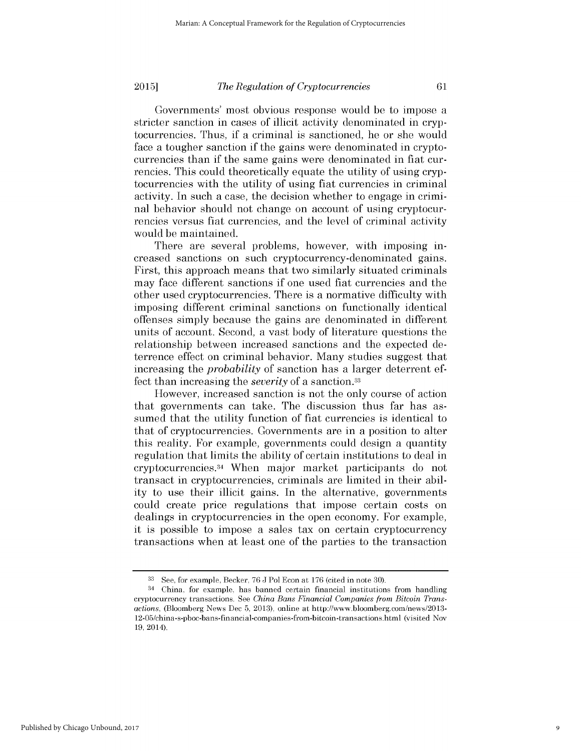#### *The Regulation of Cryptocurrencies* **2015]**

Governments' most obvious response would be to impose a stricter sanction in cases of illicit activity denominated in cryptocurrencies. Thus, if a criminal is sanctioned, he or she would face a tougher sanction if the gains were denominated in cryptocurrencies than if the same gains were denominated in fiat currencies. This could theoretically equate the utility of using cryptocurrencies with the utility of using fiat currencies in criminal activity. In such a case, the decision whether to engage in criminal behavior should not change on account of using cryptocurrencies versus fiat currencies, and the level of criminal activity would be maintained.

There are several problems, however, with imposing increased sanctions on such cryptocurrency-denominated gains. First, this approach means that two similarly situated criminals may face different sanctions if one used fiat currencies and the other used cryptocurrencies. There is a normative difficulty with imposing different criminal sanctions on functionally identical offenses simply because the gains are denominated in different units of account. Second, a vast body of literature questions the relationship between increased sanctions and the expected deterrence effect on criminal behavior. Many studies suggest that increasing the *probability* of sanction has a larger deterrent effect than increasing the *severity* of a sanction. <sup>33</sup>

However, increased sanction is not the only course of action that governments can take. The discussion thus far has assumed that the utility function of fiat currencies is identical to that of cryptocurrencies. Governments are in a position to alter this reality. For example, governments could design a quantity regulation that limits the ability of certain institutions to deal in cryptocurrencies.34 When major market participants do not transact in cryptocurrencies, criminals are limited in their ability to use their illicit gains. In the alternative, governments could create price regulations that impose certain costs on dealings in cryptocurrencies in the open economy. For example, it is possible to impose a sales tax on certain cryptocurrency transactions when at least one of the parties to the transaction

**<sup>33</sup>**See, for example, Becker, 76 J Pol Econ at 176 (cited in note 30).

<sup>34</sup>China, for example, has banned certain financial institutions from handling cryptocurrency transactions. See *China Bans Financial Companies from Bitcoin Transactions,* (Bloomberg News Dec 5, 2013), online at http://www.bloomberg.com/news/2013- 12-05/china-s-pboc-bans-financial-companies-from-bitcoin-transactions.html (visited Nov 19, 2014).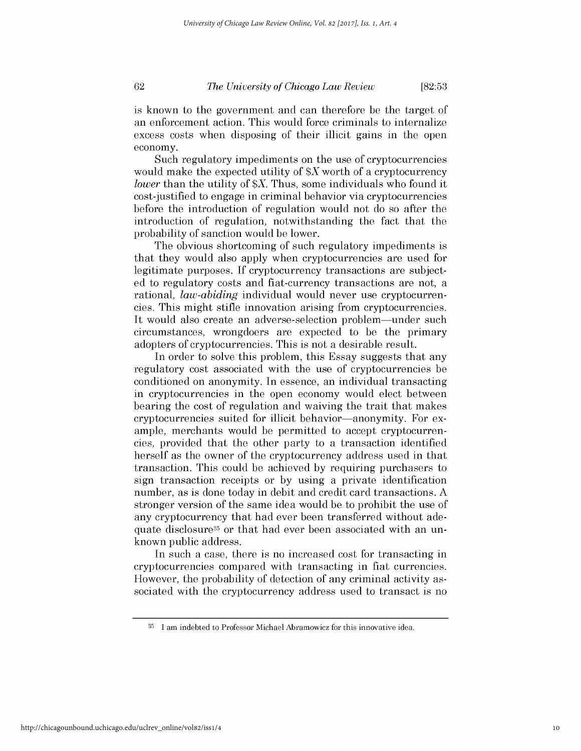*The University of Chicago Law Review*

**[82:53**

is known to the government and can therefore be the target of an enforcement action. This would force criminals to internalize excess costs when disposing of their illicit gains in the open economy.

Such regulatory impediments on the use of cryptocurrencies would make the expected utility of  $X$  worth of a cryptocurrency *lower* than the utility of *\$X.* Thus, some individuals who found it cost-justified to engage in criminal behavior via cryptocurrencies before the introduction of regulation would not do so after the introduction of regulation, notwithstanding the fact that the probability of sanction would be lower.

The obvious shortcoming of such regulatory impediments is that they would also apply when cryptocurrencies are used for legitimate purposes. If cryptocurrency transactions are subjected to regulatory costs and fiat-currency transactions are not, a rational, *law-abiding* individual would never use cryptocurrencies. This might stifle innovation arising from cryptocurrencies. It would also create an adverse-selection problem—under such circumstances, wrongdoers are expected to be the primary adopters of cryptocurrencies. This is not a desirable result.

In order to solve this problem, this Essay suggests that any regulatory cost associated with the use of cryptocurrencies be conditioned on anonymity. In essence, an individual transacting in cryptocurrencies in the open economy would elect between bearing the cost of regulation and waiving the trait that makes cryptocurrencies suited for illicit behavior—anonymity. For example, merchants would be permitted to accept cryptocurrencies, provided that the other party to a transaction identified herself as the owner of the cryptocurrency address used in that transaction. This could be achieved by requiring purchasers to sign transaction receipts or by using a private identification number, as is done today in debit and credit card transactions. A stronger version of the same idea would be to prohibit the use of any cryptocurrency that had ever been transferred without adequate disclosure35 or that had ever been associated with an unknown public address.

In such a case, there is no increased cost for transacting in cryptocurrencies compared with transacting in fiat currencies. However, the probability of detection of any criminal activity associated with the cryptocurrency address used to transact is no

<sup>&</sup>lt;sup>35</sup> I am indebted to Professor Michael Abramowicz for this innovative idea.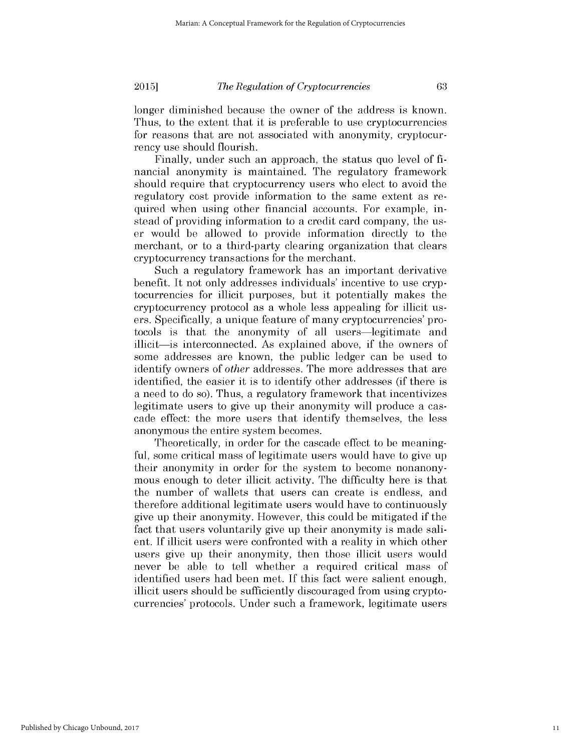**2015]**

### *The Regulation of Cryptocurrencies*

63

longer diminished because the owner of the address is known. Thus, to the extent that it is preferable to use cryptocurrencies for reasons that are not associated with anonymity, cryptocurrency use should flourish.

Finally, under such an approach, the status quo level of financial anonymity is maintained. The regulatory framework should require that cryptocurrency users who elect to avoid the regulatory cost provide information to the same extent as required when using other financial accounts. For example, instead of providing information to a credit card company, the user would be allowed to provide information directly to the merchant, or to a third-party clearing organization that clears cryptocurrency transactions for the merchant.

Such a regulatory framework has an important derivative benefit. It not only addresses individuals' incentive to use cryptocurrencies for illicit purposes, but it potentially makes the cryptocurrency protocol as a whole less appealing for illicit users. Specifically, a unique feature of many cryptocurrencies' protocols is that the anonymity of all users-legitimate and illicit-is interconnected. As explained above, if the owners of some addresses are known, the public ledger can be used to identify owners of *other* addresses. The more addresses that are identified, the easier it is to identify other addresses (if there is a need to do so). Thus, a regulatory framework that incentivizes legitimate users to give up their anonymity will produce a cascade effect: the more users that identify themselves, the less anonymous the entire system becomes.

Theoretically, in order for the cascade effect to be meaningful, some critical mass of legitimate users would have to give up their anonymity in order for the system to become nonanonymous enough to deter illicit activity. The difficulty here is that the number of wallets that users can create is endless, and therefore additional legitimate users would have to continuously give up their anonymity. However, this could be mitigated if the fact that users voluntarily give up their anonymity is made salient. If illicit users were confronted with a reality in which other users give up their anonymity, then those illicit users would never be able to tell whether a required critical mass of identified users had been met. If this fact were salient enough, illicit users should be sufficiently discouraged from using cryptocurrencies' protocols. Under such a framework, legitimate users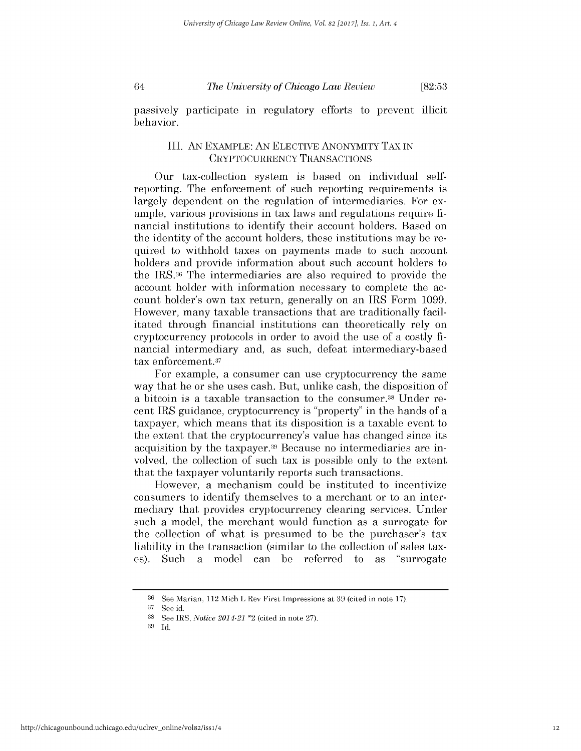64

*The University of Chicago Law Review*

**[82:53**

passively participate in regulatory efforts to prevent illicit behavior.

## III. AN EXAMPLE: AN ELECTIVE ANONYMITY TAX IN CRYPTOCURRENCY TRANSACTIONS

Our tax-collection system is based on individual selfreporting. The enforcement of such reporting requirements is largely dependent on the regulation of intermediaries. For example, various provisions in tax laws and regulations require financial institutions to identify their account holders. Based on the identity of the account holders, these institutions may be required to withhold taxes on payments made to such account holders and provide information about such account holders to the IRS.36 The intermediaries are also required to provide the account holder with information necessary to complete the account holder's own tax return, generally on an IRS Form 1099. However, many taxable transactions that are traditionally facilitated through financial institutions can theoretically rely on cryptocurrency protocols in order to avoid the use of a costly financial intermediary and, as such, defeat intermediary-based tax enforcement.<sup>37</sup>

For example, a consumer can use cryptocurrency the same way that he or she uses cash. But, unlike cash, the disposition of a bitcoin is a taxable transaction to the consumer.<sup>38</sup> Under recent IRS guidance, cryptocurrency is "property" in the hands of a taxpayer, which means that its disposition is a taxable event to the extent that the cryptocurrency's value has changed since its acquisition by the taxpayer.<sup>39</sup> Because no intermediaries are involved, the collection of such tax is possible only to the extent that the taxpayer voluntarily reports such transactions.

However, a mechanism could be instituted to incentivize consumers to identify themselves to a merchant or to an intermediary that provides cryptocurrency clearing services. Under such a model, the merchant would function as a surrogate for the collection of what is presumed to be the purchaser's tax liability in the transaction (similar to the collection of sales taxes). Such a model can be referred to as "surrogate

 $36$  See Marian, 112 Mich L Rev First Impressions at 39 (cited in note 17).

**<sup>37</sup>** See id.

<sup>38</sup>See IRS, *Notice 2014-21* \*2 (cited in note 27).

<sup>39</sup> Id.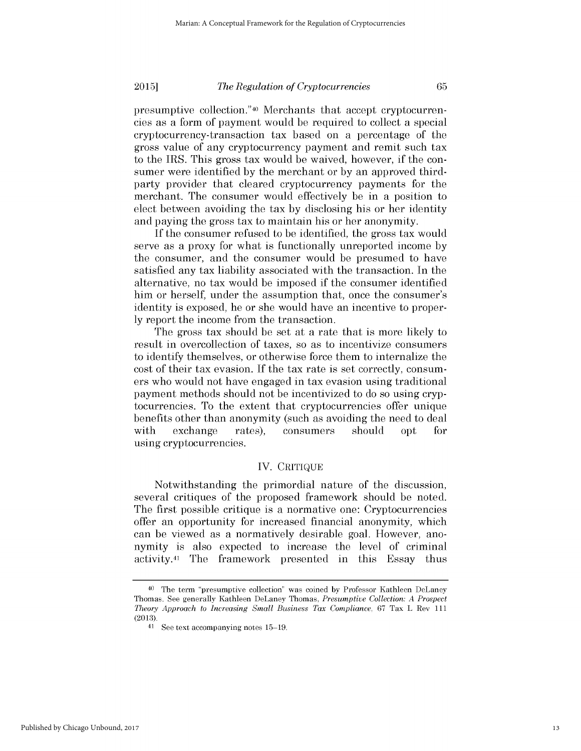65

### *The Regulation of Cryptocurrencies* **2015]**

presumptive collection.<sup>"40</sup> Merchants that accept cryptocurrencies as a form of payment would be required to collect a special cryptocurrency-transaction tax based on a percentage of the gross value of any cryptocurrency payment and remit such tax to the IRS. This gross tax would be waived, however, if the consumer were identified by the merchant or by an approved thirdparty provider that cleared cryptocurrency payments for the merchant. The consumer would effectively be in a position to elect between avoiding the tax by disclosing his or her identity and paying the gross tax to maintain his or her anonymity.

If the consumer refused to be identified, the gross tax would serve as a proxy for what is functionally unreported income by the consumer, and the consumer would be presumed to have satisfied any tax liability associated with the transaction. In the alternative, no tax would be imposed if the consumer identified him or herself, under the assumption that, once the consumer's identity is exposed, he or she would have an incentive to proper**ly** report the income from the transaction.

The gross tax should be set at a rate that is more likely to result in overcollection of taxes, so as to incentivize consumers to identify themselves, or otherwise force them to internalize the cost of their tax evasion. If the tax rate is set correctly, consumers who would not have engaged in tax evasion using traditional payment methods should not be incentivized to do so using cryptocurrencies. To the extent that cryptocurrencies offer unique benefits other than anonymity (such as avoiding the need to deal with exchange rates), consumers should opt for using cryptocurrencies.

## IV. CRITIQUE

Notwithstanding the primordial nature of the discussion, several critiques of the proposed framework should be noted. The first possible critique is a normative one: Cryptocurrencies offer an opportunity for increased financial anonymity, which can be viewed as a normatively desirable goal. However, anonymity is also expected to increase the level of criminal activity.41 The framework presented in this Essay thus

<sup>40</sup>The term "presumptive collection" was coined by Professor Kathleen DeLaney Thomas. See generally Kathleen DeLaney Thomas, *Presumptive Collection: A Prospect Theory Approach to Increasing Small Business Tax Compliance,* 67 Tax L Rev 111 (2013).

 $41$  See text accompanying notes  $15-19$ .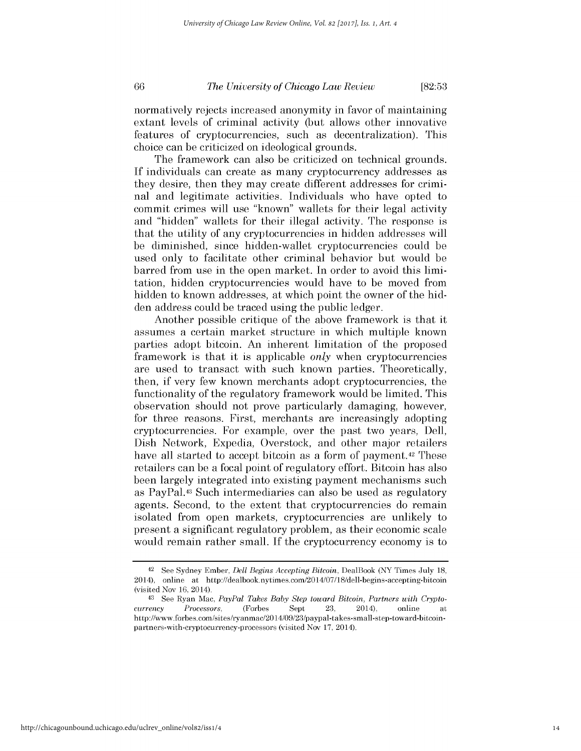## *The University of Chicago Law Review*

**[82:53**

normatively rejects increased anonymity in favor of maintaining extant levels of criminal activity (but allows other innovative features of cryptocurrencies, such as decentralization). This choice can be criticized on ideological grounds.

The framework can also be criticized on technical grounds. If individuals can create as many cryptocurrency addresses as they desire, then they may create different addresses for criminal and legitimate activities. Individuals who have opted to commit crimes will use "known" wallets for their legal activity and "hidden" wallets for their illegal activity. The response is that the utility of any cryptocurrencies in hidden addresses will be diminished, since hidden-wallet cryptocurrencies could be used only to facilitate other criminal behavior but would be barred from use in the open market. In order to avoid this limitation, hidden cryptocurrencies would have to be moved from hidden to known addresses, at which point the owner of the hidden address could be traced using the public ledger.

Another possible critique of the above framework is that it assumes a certain market structure in which multiple known parties adopt bitcoin. An inherent limitation of the proposed framework is that it is applicable *only* when cryptocurrencies are used to transact with such known parties. Theoretically, then, if very few known merchants adopt cryptocurrencies, the functionality of the regulatory framework would be limited. This observation should not prove particularly damaging, however, for three reasons. First, merchants are increasingly adopting cryptocurrencies. For example, over the past two years, Dell, Dish Network, Expedia, Overstock, and other major retailers have all started to accept bitcoin as a form of payment.<sup>42</sup> These retailers can be a focal point of regulatory effort. Bitcoin has also been largely integrated into existing payment mechanisms such as PayPal.43 Such intermediaries can also be used as regulatory agents. Second, to the extent that cryptocurrencies do remain isolated from open markets, cryptocurrencies are unlikely to present a significant regulatory problem, as their economic scale would remain rather small. If the cryptocurrency economy is to

<sup>42</sup>See Sydney Ember, *Dell Begins Accepting Bitcoin,* DealBook (NY Times July 18, 2014), online at http://dealbook.nytimes.com/2014/07/18/dell-begins-accepting-bitcoin (visited Nov 16, 2014).

<sup>43</sup> See Ryan Mac, *PayPal Takes Baby Step toward Bitcoin, Partners with Cryptocurrency Processors,* (Forbes Sept 23, 2014), online http://www.forbes.com/sites/ryanmac/201 4/09/23/paypal-takes-small-step-toward-bitcoinpartners-with-cryptocurrency-processors (visited Nov 17, 2014).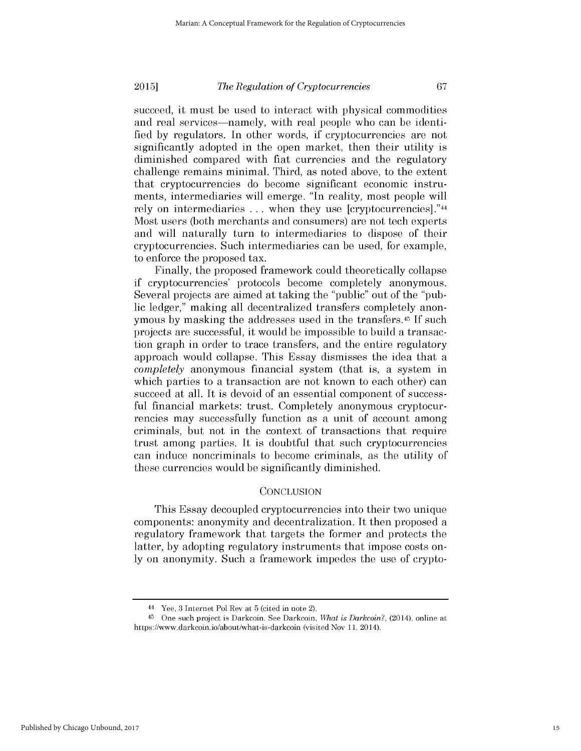67

### *The Regulation of Cryptocurrencies* **2015]**

succeed, it must be used to interact with physical commodities and real services—namely, with real people who can be identified by regulators. In other words, if cryptocurrencies are not significantly adopted in the open market, then their utility is diminished compared with fiat currencies and the regulatory challenge remains minimal. Third, as noted above, to the extent that cryptocurrencies do become significant economic instruments, intermediaries will emerge. "In reality, most people will rely on intermediaries ... when they use [cryptocurrencies]."<sup>44</sup> Most users (both merchants and consumers) are not tech experts and will naturally turn to intermediaries to dispose of their cryptocurrencies. Such intermediaries can be used, for example, to enforce the proposed tax.

Finally, the proposed framework could theoretically collapse if cryptocurrencies' protocols become completely anonymous. Several projects are aimed at taking the "public" out of the "public ledger," making all decentralized transfers completely anonymous by masking the addresses used in the transfers.<sup>45</sup> If such projects are successful, it would be impossible to build a transaction graph in order to trace transfers, and the entire regulatory approach would collapse. This Essay dismisses the idea that a *completely* anonymous financial system (that is, a system in which parties to a transaction are not known to each other) can succeed at all. It is devoid of an essential component of successful financial markets: trust. Completely anonymous cryptocurrencies may successfully function as a unit of account among criminals, but not in the context of transactions that require trust among parties. It is doubtful that such cryptocurrencies can induce noncriminals to become criminals, as the utility of these currencies would be significantly diminished.

## **CONCLUSION**

This Essay decoupled cryptocurrencies into their two unique components: anonymity and decentralization. It then proposed a regulatory framework that targets the former and protects the latter, by adopting regulatory instruments that impose costs only on anonymity. Such a framework impedes the use of crypto-

<sup>44</sup>Yee, 3 Internet Pol Rev at 5 (cited in note 2).

<sup>&</sup>lt;sup>45</sup> One such project is Darkcoin. See Darkcoin, *What is Darkcoin?*, (2014), online at https://www.darkcoin.io/about/what-is-darkcoin (visited Nov 11, 2014).